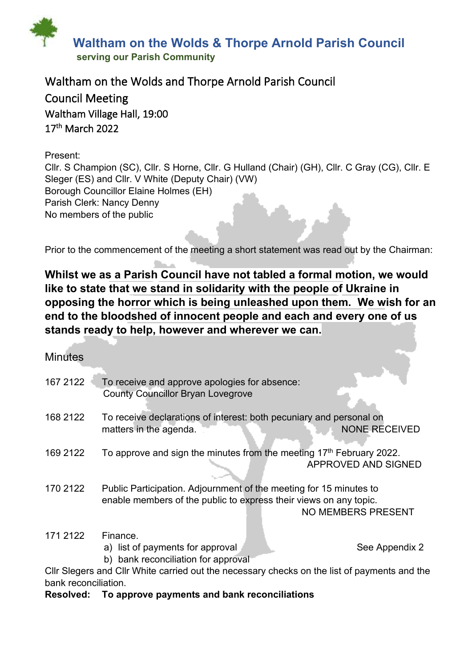

# Waltham on the Wolds and Thorpe Arnold Parish Council Council Meeting Waltham Village Hall, 19:00 17th March 2022

Present: Cllr. S Champion (SC), Cllr. S Horne, Cllr. G Hulland (Chair) (GH), Cllr. C Gray (CG), Cllr. E Sleger (ES) and Cllr. V White (Deputy Chair) (VW) Borough Councillor Elaine Holmes (EH) Parish Clerk: Nancy Denny No members of the public

Prior to the commencement of the meeting a short statement was read out by the Chairman:

**Whilst we as a Parish Council have not tabled a formal motion, we would like to state that we stand in solidarity with the people of Ukraine in opposing the horror which is being unleashed upon them. We wish for an end to the bloodshed of innocent people and each and every one of us stands ready to help, however and wherever we can.**

# **Minutes**

| 167 2122             | To receive and approve apologies for absence:<br><b>County Councillor Bryan Lovegrove</b>                                               |                           |
|----------------------|-----------------------------------------------------------------------------------------------------------------------------------------|---------------------------|
| 168 2122             | To receive declarations of interest: both pecuniary and personal on                                                                     |                           |
|                      | matters in the agenda.                                                                                                                  | <b>NONE RECEIVED</b>      |
| 169 2122             | To approve and sign the minutes from the meeting 17 <sup>th</sup> February 2022.                                                        | APPROVED AND SIGNED       |
| 170 2122             | Public Participation. Adjournment of the meeting for 15 minutes to<br>enable members of the public to express their views on any topic. | <b>NO MEMBERS PRESENT</b> |
| 171 2122             | Finance.<br>a) list of payments for approval                                                                                            | See Appendix 2            |
|                      | b) bank reconciliation for approval                                                                                                     |                           |
|                      | CIIr Slegers and CIIr White carried out the necessary checks on the list of payments and the                                            |                           |
| bank reconciliation. |                                                                                                                                         |                           |

#### **Resolved: To approve payments and bank reconciliations**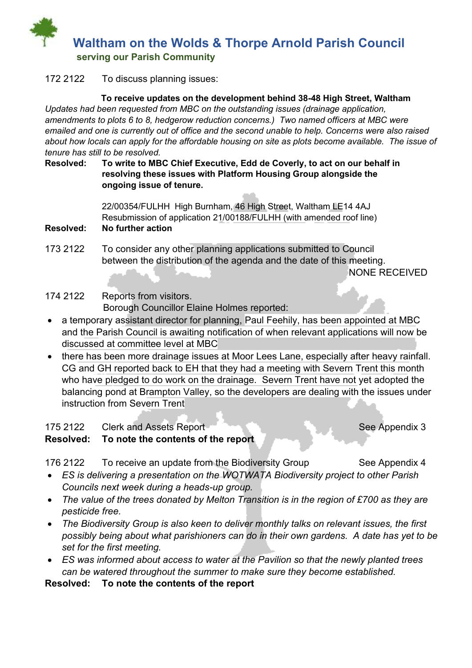

## 172 2122 To discuss planning issues:

#### **To receive updates on the development behind 38-48 High Street, Waltham**

*Updates had been requested from MBC on the outstanding issues (drainage application, amendments to plots 6 to 8, hedgerow reduction concerns.) Two named officers at MBC were emailed and one is currently out of office and the second unable to help. Concerns were also raised about how locals can apply for the affordable housing on site as plots become available. The issue of tenure has still to be resolved.*

#### **Resolved: To write to MBC Chief Executive, Edd de Coverly, to act on our behalf in resolving these issues with Platform Housing Group alongside the ongoing issue of tenure.**

22/00354/FULHH High Burnham, 46 High Street, Waltham LE14 4AJ Resubmission of application 21/00188/FULHH (with amended roof line)

#### **Resolved: No further action**

173 2122 To consider any other planning applications submitted to Council between the distribution of the agenda and the date of this meeting. NONE RECEIVED

# 174 2122 Reports from visitors. Borough Councillor Elaine Holmes reported:

- a temporary assistant director for planning, Paul Feehily, has been appointed at MBC and the Parish Council is awaiting notification of when relevant applications will now be discussed at committee level at MBC
- there has been more drainage issues at Moor Lees Lane, especially after heavy rainfall. CG and GH reported back to EH that they had a meeting with Severn Trent this month who have pledged to do work on the drainage. Severn Trent have not yet adopted the balancing pond at Brampton Valley, so the developers are dealing with the issues under instruction from Severn Trent

175 2122 Clerk and Assets Report New York See Appendix 3

## **Resolved: To note the contents of the report**

176 2122 To receive an update from the Biodiversity Group See Appendix 4

- *ES is delivering a presentation on the WOTWATA Biodiversity project to other Parish Councils next week during a heads-up group.*
- *The value of the trees donated by Melton Transition is in the region of £700 as they are pesticide free.*
- *The Biodiversity Group is also keen to deliver monthly talks on relevant issues, the first possibly being about what parishioners can do in their own gardens. A date has yet to be set for the first meeting.*
- *ES was informed about access to water at the Pavilion so that the newly planted trees can be watered throughout the summer to make sure they become established.*

**Resolved: To note the contents of the report**